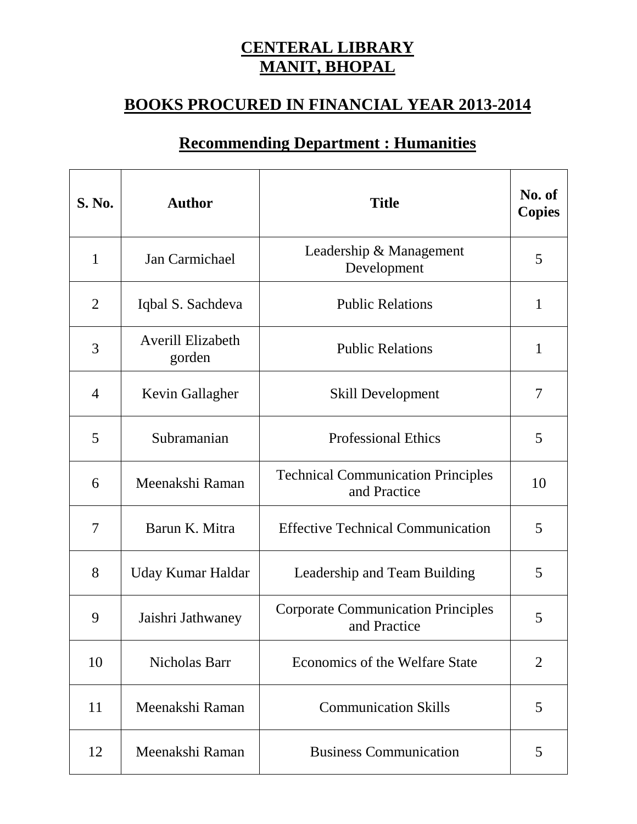## **CENTERAL LIBRARY MANIT, BHOPAL**

## **BOOKS PROCURED IN FINANCIAL YEAR 2013-2014**

## **Recommending Department : Humanities**

| <b>S. No.</b>  | <b>Author</b>                      | <b>Title</b>                                              | No. of<br><b>Copies</b> |
|----------------|------------------------------------|-----------------------------------------------------------|-------------------------|
| $\mathbf{1}$   | Jan Carmichael                     | Leadership & Management<br>Development                    | 5                       |
| $\overline{2}$ | Iqbal S. Sachdeva                  | <b>Public Relations</b>                                   | $\mathbf{1}$            |
| 3              | <b>Averill Elizabeth</b><br>gorden | <b>Public Relations</b>                                   | $\mathbf{1}$            |
| $\overline{4}$ | Kevin Gallagher                    | <b>Skill Development</b>                                  | 7                       |
| 5              | Subramanian                        | <b>Professional Ethics</b>                                | 5                       |
| 6              | Meenakshi Raman                    | <b>Technical Communication Principles</b><br>and Practice | 10                      |
| 7              | Barun K. Mitra                     | <b>Effective Technical Communication</b>                  | 5                       |
| 8              | Uday Kumar Haldar                  | Leadership and Team Building                              | 5                       |
| 9              | Jaishri Jathwaney                  | <b>Corporate Communication Principles</b><br>and Practice | 5                       |
| 10             | Nicholas Barr                      | <b>Economics of the Welfare State</b>                     | $\overline{2}$          |
| 11             | Meenakshi Raman                    | <b>Communication Skills</b>                               | 5                       |
| 12             | Meenakshi Raman                    | <b>Business Communication</b>                             | 5                       |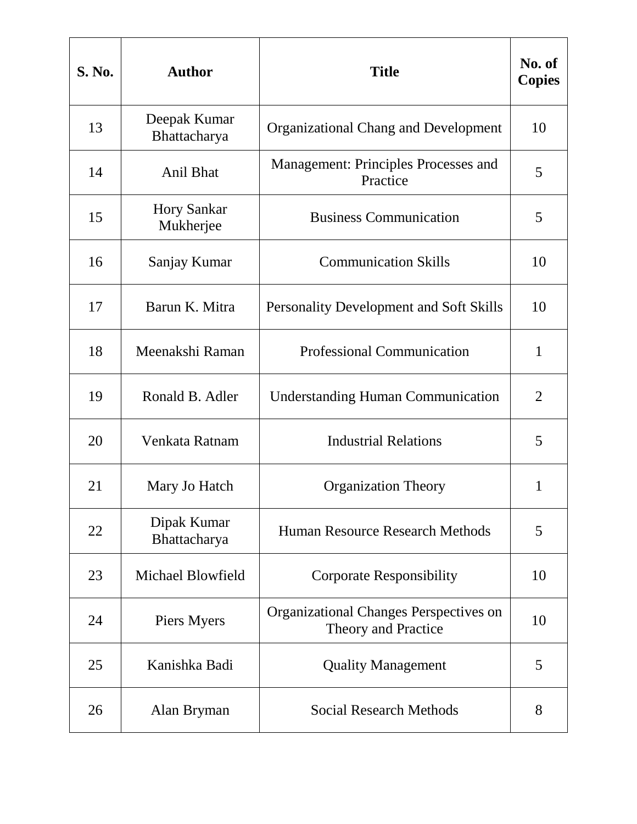| <b>S. No.</b> | <b>Author</b>                   | <b>Title</b>                                                         | No. of<br><b>Copies</b> |
|---------------|---------------------------------|----------------------------------------------------------------------|-------------------------|
| 13            | Deepak Kumar<br>Bhattacharya    | <b>Organizational Chang and Development</b>                          | 10                      |
| 14            | <b>Anil Bhat</b>                | Management: Principles Processes and<br>Practice                     | 5                       |
| 15            | <b>Hory Sankar</b><br>Mukherjee | <b>Business Communication</b>                                        | 5                       |
| 16            | Sanjay Kumar                    | <b>Communication Skills</b>                                          | 10                      |
| 17            | Barun K. Mitra                  | <b>Personality Development and Soft Skills</b>                       | 10                      |
| 18            | Meenakshi Raman                 | <b>Professional Communication</b>                                    | $\mathbf{1}$            |
| 19            | Ronald B. Adler                 | <b>Understanding Human Communication</b>                             | $\overline{2}$          |
| 20            | Venkata Ratnam                  | <b>Industrial Relations</b>                                          | 5                       |
| 21            | Mary Jo Hatch                   | <b>Organization Theory</b>                                           | 1                       |
| 22            | Dipak Kumar<br>Bhattacharya     | Human Resource Research Methods                                      | 5                       |
| 23            | Michael Blowfield               | <b>Corporate Responsibility</b>                                      | 10                      |
| 24            | Piers Myers                     | <b>Organizational Changes Perspectives on</b><br>Theory and Practice | 10                      |
| 25            | Kanishka Badi                   | <b>Quality Management</b>                                            | 5                       |
| 26            | Alan Bryman                     | <b>Social Research Methods</b>                                       | 8                       |